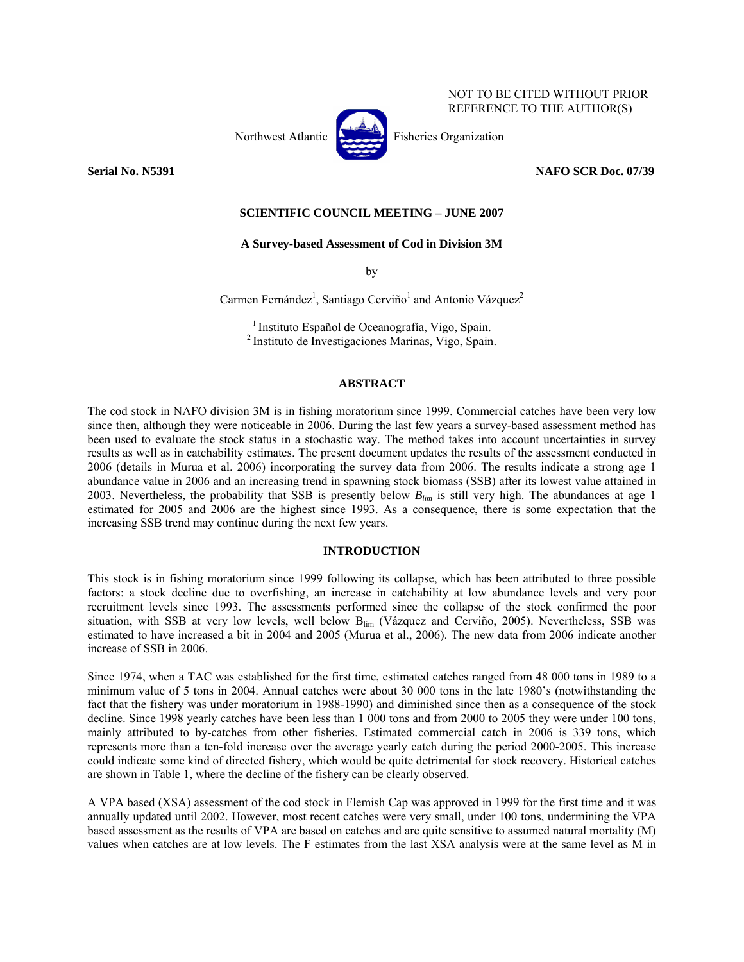

NOT TO BE CITED WITHOUT PRIOR REFERENCE TO THE AUTHOR(S)

**Serial No. N5391 NAFO SCR Doc. 07/39** 

# **SCIENTIFIC COUNCIL MEETING – JUNE 2007**

### **A Survey-based Assessment of Cod in Division 3M**

by

Carmen Fernández<sup>1</sup>, Santiago Cerviño<sup>1</sup> and Antonio Vázquez<sup>2</sup>

<sup>1</sup> Instituto Español de Oceanografía, Vigo, Spain.<br><sup>2</sup> Instituto de Investigaciones Marinas, Vigo, Spain.

## **ABSTRACT**

The cod stock in NAFO division 3M is in fishing moratorium since 1999. Commercial catches have been very low since then, although they were noticeable in 2006. During the last few years a survey-based assessment method has been used to evaluate the stock status in a stochastic way. The method takes into account uncertainties in survey results as well as in catchability estimates. The present document updates the results of the assessment conducted in 2006 (details in Murua et al. 2006) incorporating the survey data from 2006. The results indicate a strong age 1 abundance value in 2006 and an increasing trend in spawning stock biomass (SSB) after its lowest value attained in 2003. Nevertheless, the probability that SSB is presently below *Blim* is still very high. The abundances at age 1 estimated for 2005 and 2006 are the highest since 1993. As a consequence, there is some expectation that the increasing SSB trend may continue during the next few years.

## **INTRODUCTION**

This stock is in fishing moratorium since 1999 following its collapse, which has been attributed to three possible factors: a stock decline due to overfishing, an increase in catchability at low abundance levels and very poor recruitment levels since 1993. The assessments performed since the collapse of the stock confirmed the poor situation, with SSB at very low levels, well below B<sub>lim</sub> (Vázquez and Cerviño, 2005). Nevertheless, SSB was estimated to have increased a bit in 2004 and 2005 (Murua et al., 2006). The new data from 2006 indicate another increase of SSB in 2006.

Since 1974, when a TAC was established for the first time, estimated catches ranged from 48 000 tons in 1989 to a minimum value of 5 tons in 2004. Annual catches were about 30 000 tons in the late 1980's (notwithstanding the fact that the fishery was under moratorium in 1988-1990) and diminished since then as a consequence of the stock decline. Since 1998 yearly catches have been less than 1 000 tons and from 2000 to 2005 they were under 100 tons, mainly attributed to by-catches from other fisheries. Estimated commercial catch in 2006 is 339 tons, which represents more than a ten-fold increase over the average yearly catch during the period 2000-2005. This increase could indicate some kind of directed fishery, which would be quite detrimental for stock recovery. Historical catches are shown in Table 1, where the decline of the fishery can be clearly observed.

A VPA based (XSA) assessment of the cod stock in Flemish Cap was approved in 1999 for the first time and it was annually updated until 2002. However, most recent catches were very small, under 100 tons, undermining the VPA based assessment as the results of VPA are based on catches and are quite sensitive to assumed natural mortality (M) values when catches are at low levels. The F estimates from the last XSA analysis were at the same level as M in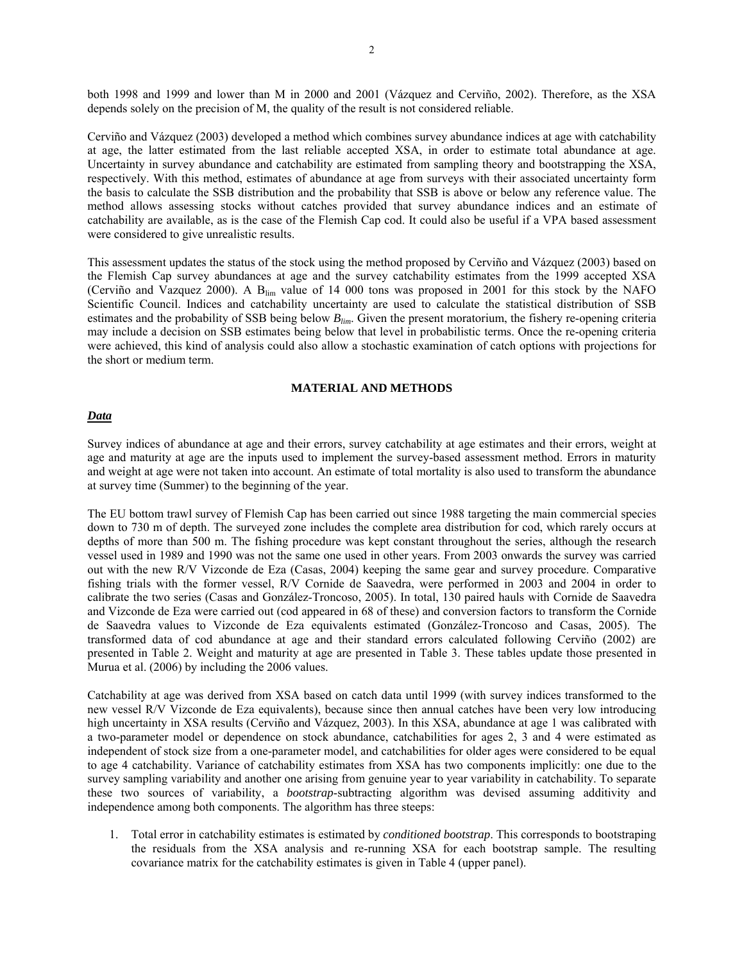both 1998 and 1999 and lower than M in 2000 and 2001 (Vázquez and Cerviño, 2002). Therefore, as the XSA depends solely on the precision of M, the quality of the result is not considered reliable.

Cerviño and Vázquez (2003) developed a method which combines survey abundance indices at age with catchability at age, the latter estimated from the last reliable accepted XSA, in order to estimate total abundance at age. Uncertainty in survey abundance and catchability are estimated from sampling theory and bootstrapping the XSA, respectively. With this method, estimates of abundance at age from surveys with their associated uncertainty form the basis to calculate the SSB distribution and the probability that SSB is above or below any reference value. The method allows assessing stocks without catches provided that survey abundance indices and an estimate of catchability are available, as is the case of the Flemish Cap cod. It could also be useful if a VPA based assessment were considered to give unrealistic results.

This assessment updates the status of the stock using the method proposed by Cerviño and Vázquez (2003) based on the Flemish Cap survey abundances at age and the survey catchability estimates from the 1999 accepted XSA (Cerviño and Vazquez 2000). A Blim value of 14 000 tons was proposed in 2001 for this stock by the NAFO Scientific Council. Indices and catchability uncertainty are used to calculate the statistical distribution of SSB estimates and the probability of SSB being below *Blim*. Given the present moratorium, the fishery re-opening criteria may include a decision on SSB estimates being below that level in probabilistic terms. Once the re-opening criteria were achieved, this kind of analysis could also allow a stochastic examination of catch options with projections for the short or medium term.

## **MATERIAL AND METHODS**

#### *Data*

Survey indices of abundance at age and their errors, survey catchability at age estimates and their errors, weight at age and maturity at age are the inputs used to implement the survey-based assessment method. Errors in maturity and weight at age were not taken into account. An estimate of total mortality is also used to transform the abundance at survey time (Summer) to the beginning of the year.

The EU bottom trawl survey of Flemish Cap has been carried out since 1988 targeting the main commercial species down to 730 m of depth. The surveyed zone includes the complete area distribution for cod, which rarely occurs at depths of more than 500 m. The fishing procedure was kept constant throughout the series, although the research vessel used in 1989 and 1990 was not the same one used in other years. From 2003 onwards the survey was carried out with the new R/V Vizconde de Eza (Casas, 2004) keeping the same gear and survey procedure. Comparative fishing trials with the former vessel, R/V Cornide de Saavedra, were performed in 2003 and 2004 in order to calibrate the two series (Casas and González-Troncoso, 2005). In total, 130 paired hauls with Cornide de Saavedra and Vizconde de Eza were carried out (cod appeared in 68 of these) and conversion factors to transform the Cornide de Saavedra values to Vizconde de Eza equivalents estimated (González-Troncoso and Casas, 2005). The transformed data of cod abundance at age and their standard errors calculated following Cerviño (2002) are presented in Table 2. Weight and maturity at age are presented in Table 3. These tables update those presented in Murua et al. (2006) by including the 2006 values.

Catchability at age was derived from XSA based on catch data until 1999 (with survey indices transformed to the new vessel R/V Vizconde de Eza equivalents), because since then annual catches have been very low introducing high uncertainty in XSA results (Cerviño and Vázquez, 2003). In this XSA, abundance at age 1 was calibrated with a two-parameter model or dependence on stock abundance, catchabilities for ages 2, 3 and 4 were estimated as independent of stock size from a one-parameter model, and catchabilities for older ages were considered to be equal to age 4 catchability. Variance of catchability estimates from XSA has two components implicitly: one due to the survey sampling variability and another one arising from genuine year to year variability in catchability. To separate these two sources of variability, a *bootstrap*-subtracting algorithm was devised assuming additivity and independence among both components. The algorithm has three steeps:

1. Total error in catchability estimates is estimated by *conditioned bootstrap*. This corresponds to bootstraping the residuals from the XSA analysis and re-running XSA for each bootstrap sample. The resulting covariance matrix for the catchability estimates is given in Table 4 (upper panel).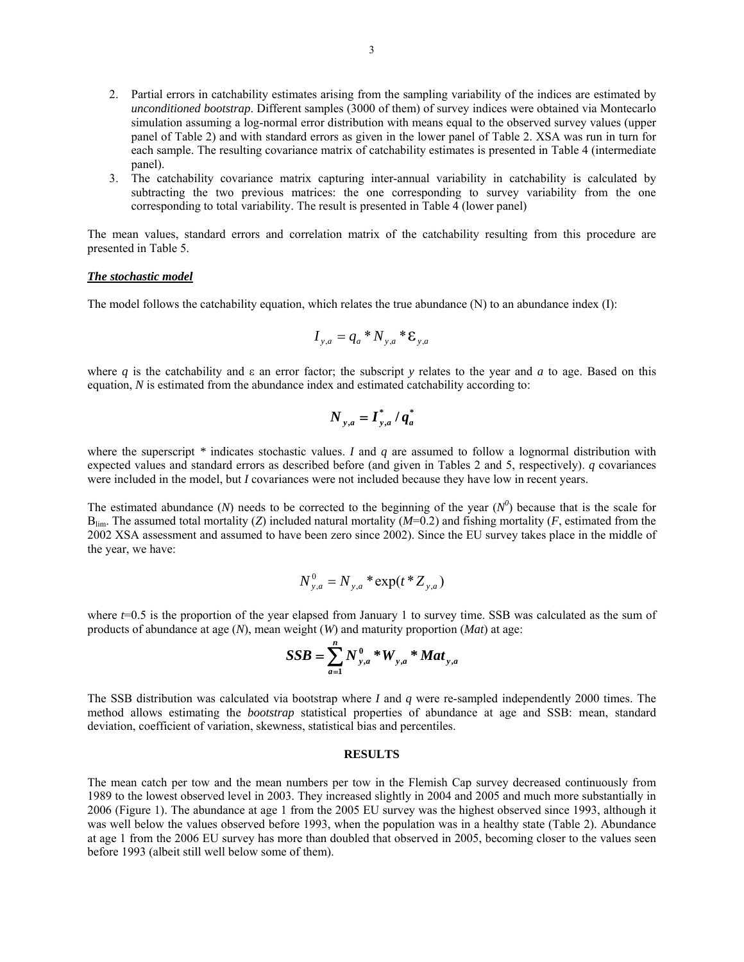- 2. Partial errors in catchability estimates arising from the sampling variability of the indices are estimated by *unconditioned bootstrap*. Different samples (3000 of them) of survey indices were obtained via Montecarlo simulation assuming a log-normal error distribution with means equal to the observed survey values (upper panel of Table 2) and with standard errors as given in the lower panel of Table 2. XSA was run in turn for each sample. The resulting covariance matrix of catchability estimates is presented in Table 4 (intermediate panel).
- 3. The catchability covariance matrix capturing inter-annual variability in catchability is calculated by subtracting the two previous matrices: the one corresponding to survey variability from the one corresponding to total variability. The result is presented in Table 4 (lower panel)

The mean values, standard errors and correlation matrix of the catchability resulting from this procedure are presented in Table 5.

#### *The stochastic model*

The model follows the catchability equation, which relates the true abundance  $(N)$  to an abundance index  $(I)$ :

$$
I_{y,a} = q_a * N_{y,a} * \mathbf{E}_{y,a}
$$

where *q* is the catchability and ε an error factor; the subscript *y* relates to the year and *a* to age. Based on this equation, *N* is estimated from the abundance index and estimated catchability according to:

$$
N_{y,a} = \boldsymbol{I}_{y,a}^* / \boldsymbol{q}_a^*
$$

where the superscript *\** indicates stochastic values. *I* and *q* are assumed to follow a lognormal distribution with expected values and standard errors as described before (and given in Tables 2 and 5, respectively). *q* covariances were included in the model, but *I* covariances were not included because they have low in recent years.

The estimated abundance (*N*) needs to be corrected to the beginning of the year ( $N^0$ ) because that is the scale for  $B_{\text{lim}}$ . The assumed total mortality (*Z*) included natural mortality (*M*=0.2) and fishing mortality (*F*, estimated from the 2002 XSA assessment and assumed to have been zero since 2002). Since the EU survey takes place in the middle of the year, we have:

$$
N_{y,a}^0 = N_{y,a} * \exp(t * Z_{y,a})
$$

where  $t=0.5$  is the proportion of the year elapsed from January 1 to survey time. SSB was calculated as the sum of products of abundance at age (*N*), mean weight (*W*) and maturity proportion (*Mat*) at age:

$$
SSB = \sum_{a=1}^{n} N_{y,a}^{0} * W_{y,a} * Mat_{y,a}
$$

The SSB distribution was calculated via bootstrap where *I* and *q* were re-sampled independently 2000 times. The method allows estimating the *bootstrap* statistical properties of abundance at age and SSB: mean, standard deviation, coefficient of variation, skewness, statistical bias and percentiles.

### **RESULTS**

The mean catch per tow and the mean numbers per tow in the Flemish Cap survey decreased continuously from 1989 to the lowest observed level in 2003. They increased slightly in 2004 and 2005 and much more substantially in 2006 (Figure 1). The abundance at age 1 from the 2005 EU survey was the highest observed since 1993, although it was well below the values observed before 1993, when the population was in a healthy state (Table 2). Abundance at age 1 from the 2006 EU survey has more than doubled that observed in 2005, becoming closer to the values seen before 1993 (albeit still well below some of them).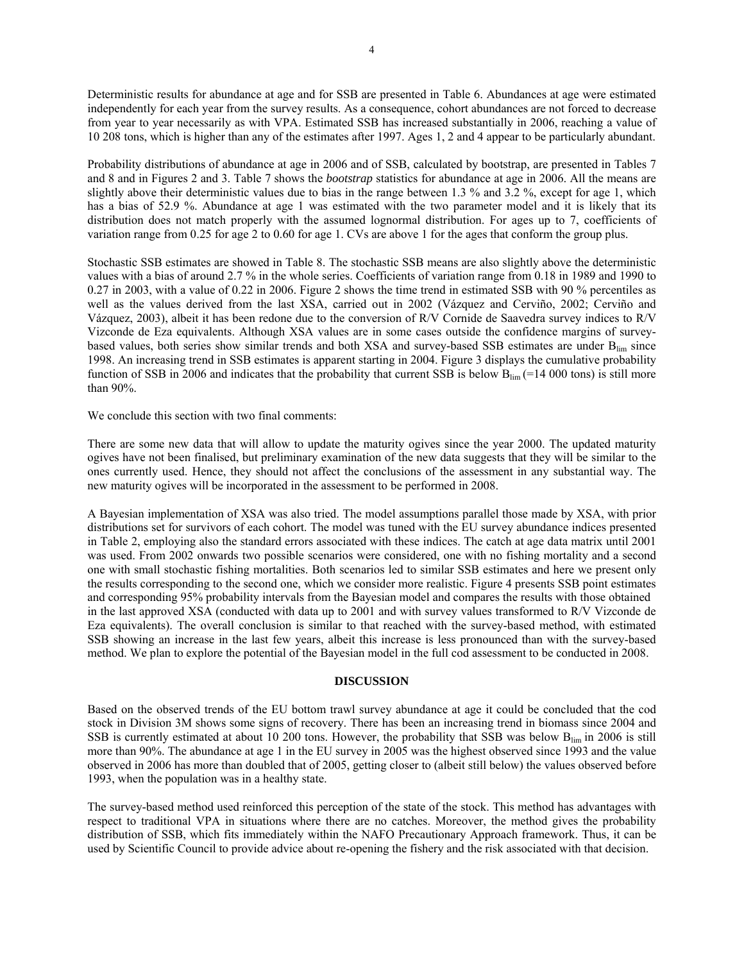Deterministic results for abundance at age and for SSB are presented in Table 6. Abundances at age were estimated independently for each year from the survey results. As a consequence, cohort abundances are not forced to decrease from year to year necessarily as with VPA. Estimated SSB has increased substantially in 2006, reaching a value of 10 208 tons, which is higher than any of the estimates after 1997. Ages 1, 2 and 4 appear to be particularly abundant.

Probability distributions of abundance at age in 2006 and of SSB, calculated by bootstrap, are presented in Tables 7 and 8 and in Figures 2 and 3. Table 7 shows the *bootstrap* statistics for abundance at age in 2006. All the means are slightly above their deterministic values due to bias in the range between 1.3 % and 3.2 %, except for age 1, which has a bias of 52.9 %. Abundance at age 1 was estimated with the two parameter model and it is likely that its distribution does not match properly with the assumed lognormal distribution. For ages up to 7, coefficients of variation range from 0.25 for age 2 to 0.60 for age 1. CVs are above 1 for the ages that conform the group plus.

Stochastic SSB estimates are showed in Table 8. The stochastic SSB means are also slightly above the deterministic values with a bias of around 2.7 % in the whole series. Coefficients of variation range from 0.18 in 1989 and 1990 to 0.27 in 2003, with a value of 0.22 in 2006. Figure 2 shows the time trend in estimated SSB with 90 % percentiles as well as the values derived from the last XSA, carried out in 2002 (Vázquez and Cerviño, 2002; Cerviño and Vázquez, 2003), albeit it has been redone due to the conversion of R/V Cornide de Saavedra survey indices to R/V Vizconde de Eza equivalents. Although XSA values are in some cases outside the confidence margins of surveybased values, both series show similar trends and both XSA and survey-based SSB estimates are under Blim since 1998. An increasing trend in SSB estimates is apparent starting in 2004. Figure 3 displays the cumulative probability function of SSB in 2006 and indicates that the probability that current SSB is below  $B_{\text{lim}}$  (=14 000 tons) is still more than 90%.

We conclude this section with two final comments:

There are some new data that will allow to update the maturity ogives since the year 2000. The updated maturity ogives have not been finalised, but preliminary examination of the new data suggests that they will be similar to the ones currently used. Hence, they should not affect the conclusions of the assessment in any substantial way. The new maturity ogives will be incorporated in the assessment to be performed in 2008.

A Bayesian implementation of XSA was also tried. The model assumptions parallel those made by XSA, with prior distributions set for survivors of each cohort. The model was tuned with the EU survey abundance indices presented in Table 2, employing also the standard errors associated with these indices. The catch at age data matrix until 2001 was used. From 2002 onwards two possible scenarios were considered, one with no fishing mortality and a second one with small stochastic fishing mortalities. Both scenarios led to similar SSB estimates and here we present only the results corresponding to the second one, which we consider more realistic. Figure 4 presents SSB point estimates and corresponding 95% probability intervals from the Bayesian model and compares the results with those obtained in the last approved XSA (conducted with data up to 2001 and with survey values transformed to R/V Vizconde de Eza equivalents). The overall conclusion is similar to that reached with the survey-based method, with estimated SSB showing an increase in the last few years, albeit this increase is less pronounced than with the survey-based method. We plan to explore the potential of the Bayesian model in the full cod assessment to be conducted in 2008.

## **DISCUSSION**

Based on the observed trends of the EU bottom trawl survey abundance at age it could be concluded that the cod stock in Division 3M shows some signs of recovery. There has been an increasing trend in biomass since 2004 and SSB is currently estimated at about 10 200 tons. However, the probability that SSB was below  $B_{\text{lim}}$  in 2006 is still more than 90%. The abundance at age 1 in the EU survey in 2005 was the highest observed since 1993 and the value observed in 2006 has more than doubled that of 2005, getting closer to (albeit still below) the values observed before 1993, when the population was in a healthy state.

The survey-based method used reinforced this perception of the state of the stock. This method has advantages with respect to traditional VPA in situations where there are no catches. Moreover, the method gives the probability distribution of SSB, which fits immediately within the NAFO Precautionary Approach framework. Thus, it can be used by Scientific Council to provide advice about re-opening the fishery and the risk associated with that decision.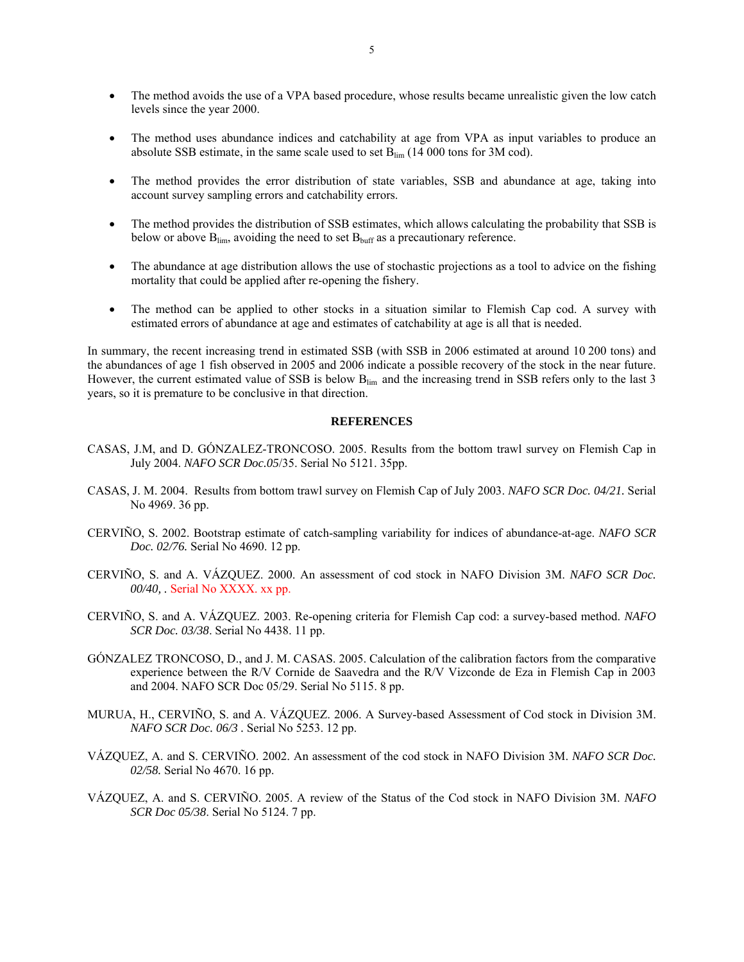- The method avoids the use of a VPA based procedure, whose results became unrealistic given the low catch levels since the year 2000.
- The method uses abundance indices and catchability at age from VPA as input variables to produce an absolute SSB estimate, in the same scale used to set  $B_{\text{lim}}$  (14 000 tons for 3M cod).
- The method provides the error distribution of state variables, SSB and abundance at age, taking into account survey sampling errors and catchability errors.
- The method provides the distribution of SSB estimates, which allows calculating the probability that SSB is below or above  $B_{\text{lim}}$ , avoiding the need to set  $B_{\text{buffer}}$  as a precautionary reference.
- The abundance at age distribution allows the use of stochastic projections as a tool to advice on the fishing mortality that could be applied after re-opening the fishery.
- The method can be applied to other stocks in a situation similar to Flemish Cap cod. A survey with estimated errors of abundance at age and estimates of catchability at age is all that is needed.

In summary, the recent increasing trend in estimated SSB (with SSB in 2006 estimated at around 10 200 tons) and the abundances of age 1 fish observed in 2005 and 2006 indicate a possible recovery of the stock in the near future. However, the current estimated value of SSB is below B<sub>lim</sub> and the increasing trend in SSB refers only to the last 3 years, so it is premature to be conclusive in that direction.

# **REFERENCES**

- CASAS, J.M, and D. GÓNZALEZ-TRONCOSO. 2005. Results from the bottom trawl survey on Flemish Cap in July 2004. *NAFO SCR Doc.05*/35. Serial No 5121. 35pp.
- CASAS, J. M. 2004. Results from bottom trawl survey on Flemish Cap of July 2003. *NAFO SCR Doc. 04/21.* Serial No 4969. 36 pp.
- CERVIÑO, S. 2002. Bootstrap estimate of catch-sampling variability for indices of abundance-at-age. *NAFO SCR Doc. 02/76.* Serial No 4690. 12 pp.
- CERVIÑO, S. and A. VÁZQUEZ. 2000. An assessment of cod stock in NAFO Division 3M. *NAFO SCR Doc. 00/40, .* Serial No XXXX. xx pp.
- CERVIÑO, S. and A. VÁZQUEZ. 2003. Re-opening criteria for Flemish Cap cod: a survey-based method. *NAFO SCR Doc. 03/38*. Serial No 4438. 11 pp.
- GÓNZALEZ TRONCOSO, D., and J. M. CASAS. 2005. Calculation of the calibration factors from the comparative experience between the R/V Cornide de Saavedra and the R/V Vizconde de Eza in Flemish Cap in 2003 and 2004. NAFO SCR Doc 05/29. Serial No 5115. 8 pp.
- MURUA, H., CERVIÑO, S. and A. VÁZQUEZ. 2006. A Survey-based Assessment of Cod stock in Division 3M. *NAFO SCR Doc. 06/3 .* Serial No 5253. 12 pp.
- VÁZQUEZ, A. and S. CERVIÑO. 2002. An assessment of the cod stock in NAFO Division 3M. *NAFO SCR Doc. 02/58.* Serial No 4670. 16 pp.
- VÁZQUEZ, A. and S. CERVIÑO. 2005. A review of the Status of the Cod stock in NAFO Division 3M. *NAFO SCR Doc 05/38*. Serial No 5124. 7 pp.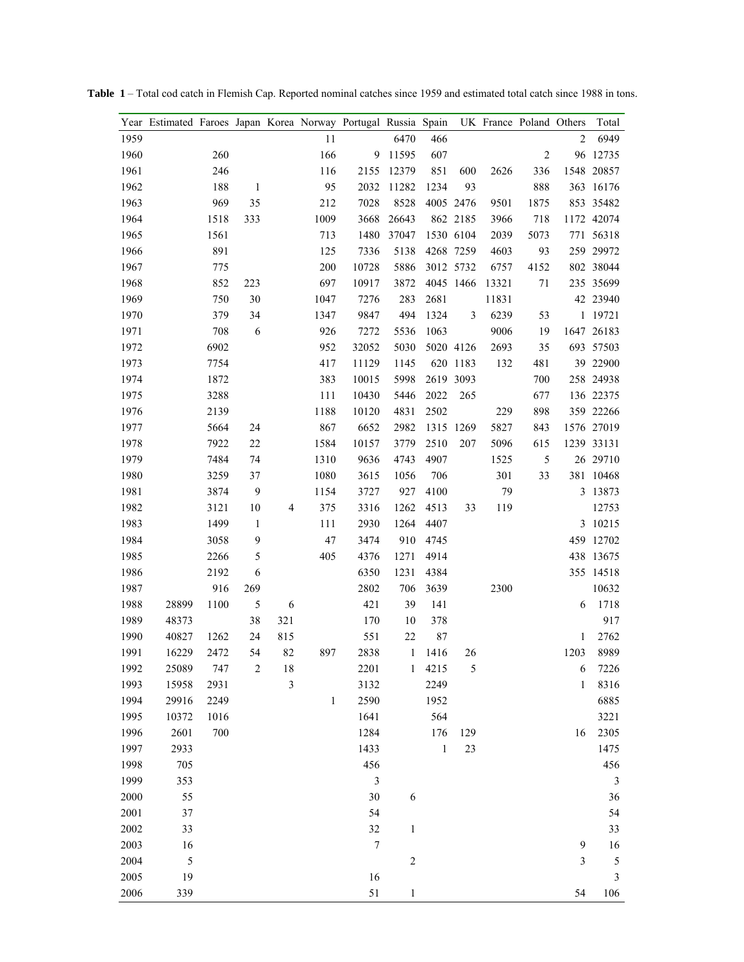|      | Year Estimated Faroes Japan Korea Norway Portugal Russia Spain |      |              |     |              |                  |              |              |                | UK France Poland Others |                |                         | Total          |
|------|----------------------------------------------------------------|------|--------------|-----|--------------|------------------|--------------|--------------|----------------|-------------------------|----------------|-------------------------|----------------|
| 1959 |                                                                |      |              |     | 11           |                  | 6470         | 466          |                |                         |                | 2                       | 6949           |
| 1960 |                                                                | 260  |              |     | 166          | 9                | 11595        | 607          |                |                         | $\overline{2}$ |                         | 96 12735       |
| 1961 |                                                                | 246  |              |     | 116          | 2155             | 12379        | 851          | 600            | 2626                    | 336            |                         | 1548 20857     |
| 1962 |                                                                | 188  | 1            |     | 95           | 2032             | 11282        | 1234         | 93             |                         | 888            |                         | 363 16176      |
| 1963 |                                                                | 969  | 35           |     | 212          | 7028             | 8528         |              | 4005 2476      | 9501                    | 1875           |                         | 853 35482      |
| 1964 |                                                                | 1518 | 333          |     | 1009         | 3668             | 26643        |              | 862 2185       | 3966                    | 718            |                         | 1172 42074     |
| 1965 |                                                                | 1561 |              |     | 713          | 1480             | 37047        |              | 1530 6104      | 2039                    | 5073           |                         | 771 56318      |
| 1966 |                                                                | 891  |              |     | 125          | 7336             | 5138         |              | 4268 7259      | 4603                    | 93             |                         | 259 29972      |
| 1967 |                                                                | 775  |              |     | 200          | 10728            | 5886         |              | 3012 5732      | 6757                    | 4152           |                         | 802 38044      |
| 1968 |                                                                | 852  | 223          |     | 697          | 10917            | 3872         |              | 4045 1466      | 13321                   | 71             |                         | 235 35699      |
| 1969 |                                                                | 750  | 30           |     | 1047         | 7276             | 283          | 2681         |                | 11831                   |                |                         | 42 23940       |
| 1970 |                                                                | 379  | 34           |     | 1347         | 9847             | 494          | 1324         | $\mathfrak{Z}$ | 6239                    | 53             |                         | 1 19721        |
| 1971 |                                                                | 708  | 6            |     | 926          | 7272             | 5536         | 1063         |                | 9006                    | 19             |                         | 1647 26183     |
| 1972 |                                                                | 6902 |              |     | 952          | 32052            | 5030         |              | 5020 4126      | 2693                    | 35             |                         | 693 57503      |
| 1973 |                                                                | 7754 |              |     | 417          | 11129            | 1145         |              | 620 1183       | 132                     | 481            |                         | 39 22900       |
| 1974 |                                                                | 1872 |              |     | 383          | 10015            | 5998         |              | 2619 3093      |                         | 700            |                         | 258 24938      |
| 1975 |                                                                | 3288 |              |     | 111          | 10430            | 5446         | 2022         | 265            |                         | 677            |                         | 136 22375      |
| 1976 |                                                                | 2139 |              |     | 1188         | 10120            | 4831         | 2502         |                | 229                     | 898            |                         | 359 22266      |
| 1977 |                                                                | 5664 | 24           |     | 867          | 6652             | 2982         |              | 1315 1269      | 5827                    | 843            |                         | 1576 27019     |
| 1978 |                                                                | 7922 | $22\,$       |     | 1584         | 10157            | 3779         | 2510         | 207            | 5096                    | 615            |                         | 1239 33131     |
| 1979 |                                                                | 7484 | 74           |     | 1310         | 9636             | 4743         | 4907         |                | 1525                    | 5              |                         | 26 29710       |
| 1980 |                                                                | 3259 | 37           |     | 1080         | 3615             | 1056         | 706          |                | 301                     | 33             |                         | 381 10468      |
| 1981 |                                                                | 3874 | 9            |     | 1154         | 3727             | 927          | 4100         |                | 79                      |                |                         | 3 13873        |
| 1982 |                                                                | 3121 | 10           | 4   | 375          | 3316             | 1262         | 4513         | 33             | 119                     |                |                         | 12753          |
| 1983 |                                                                | 1499 | $\mathbf{1}$ |     | 111          | 2930             | 1264         | 4407         |                |                         |                |                         | 3 10215        |
| 1984 |                                                                | 3058 | 9            |     | $47\,$       | 3474             | 910          | 4745         |                |                         |                |                         | 459 12702      |
| 1985 |                                                                | 2266 | 5            |     | 405          | 4376             | 1271         | 4914         |                |                         |                |                         | 438 13675      |
| 1986 |                                                                | 2192 | 6            |     |              | 6350             | 1231         | 4384         |                |                         |                |                         | 355 14518      |
| 1987 |                                                                | 916  | 269          |     |              | 2802             | 706          | 3639         |                | 2300                    |                |                         | 10632          |
| 1988 | 28899                                                          | 1100 | $\sqrt{5}$   | 6   |              | 421              | 39           | 141          |                |                         |                | 6                       | 1718           |
| 1989 | 48373                                                          |      | 38           | 321 |              | 170              | 10           | 378          |                |                         |                |                         | 917            |
| 1990 | 40827                                                          | 1262 | 24           | 815 |              | 551              | $22\,$       | 87           |                |                         |                | 1                       | 2762           |
| 1991 | 16229                                                          | 2472 | 54           | 82  | 897          | 2838             | $\mathbf{1}$ | 1416         | 26             |                         |                | 1203                    | 8989           |
| 1992 | 25089                                                          | 747  | $\sqrt{2}$   | 18  |              | 2201             | $\mathbf{1}$ | 4215         | 5              |                         |                | 6                       | 7226           |
| 1993 | 15958                                                          | 2931 |              | 3   |              | 3132             |              | 2249         |                |                         |                | $\mathbf{1}$            | 8316           |
| 1994 | 29916                                                          | 2249 |              |     | $\mathbf{1}$ | 2590             |              | 1952         |                |                         |                |                         | 6885           |
| 1995 | 10372                                                          | 1016 |              |     |              | 1641             |              | 564          |                |                         |                |                         | 3221           |
| 1996 | 2601                                                           | 700  |              |     |              | 1284             |              | 176          | 129            |                         |                | 16                      | 2305           |
| 1997 | 2933                                                           |      |              |     |              | 1433             |              | $\mathbf{1}$ | 23             |                         |                |                         | 1475           |
| 1998 | 705                                                            |      |              |     |              | 456              |              |              |                |                         |                |                         | 456            |
| 1999 | 353                                                            |      |              |     |              | $\mathfrak{Z}$   |              |              |                |                         |                |                         | $\mathfrak{Z}$ |
| 2000 | 55                                                             |      |              |     |              | 30               | $\epsilon$   |              |                |                         |                |                         | 36             |
| 2001 | 37                                                             |      |              |     |              | 54               |              |              |                |                         |                |                         | 54             |
| 2002 | 33                                                             |      |              |     |              | 32               | $\mathbf{1}$ |              |                |                         |                |                         | 33             |
| 2003 | 16                                                             |      |              |     |              | $\boldsymbol{7}$ |              |              |                |                         |                | 9                       | 16             |
| 2004 | $\sqrt{5}$                                                     |      |              |     |              |                  | $\sqrt{2}$   |              |                |                         |                | $\overline{\mathbf{3}}$ | 5              |
| 2005 | 19                                                             |      |              |     |              | 16               |              |              |                |                         |                |                         | $\mathfrak{Z}$ |
| 2006 | 339                                                            |      |              |     |              | 51               | $\mathbf{1}$ |              |                |                         |                | 54                      | 106            |

**Table 1** – Total cod catch in Flemish Cap. Reported nominal catches since 1959 and estimated total catch since 1988 in tons.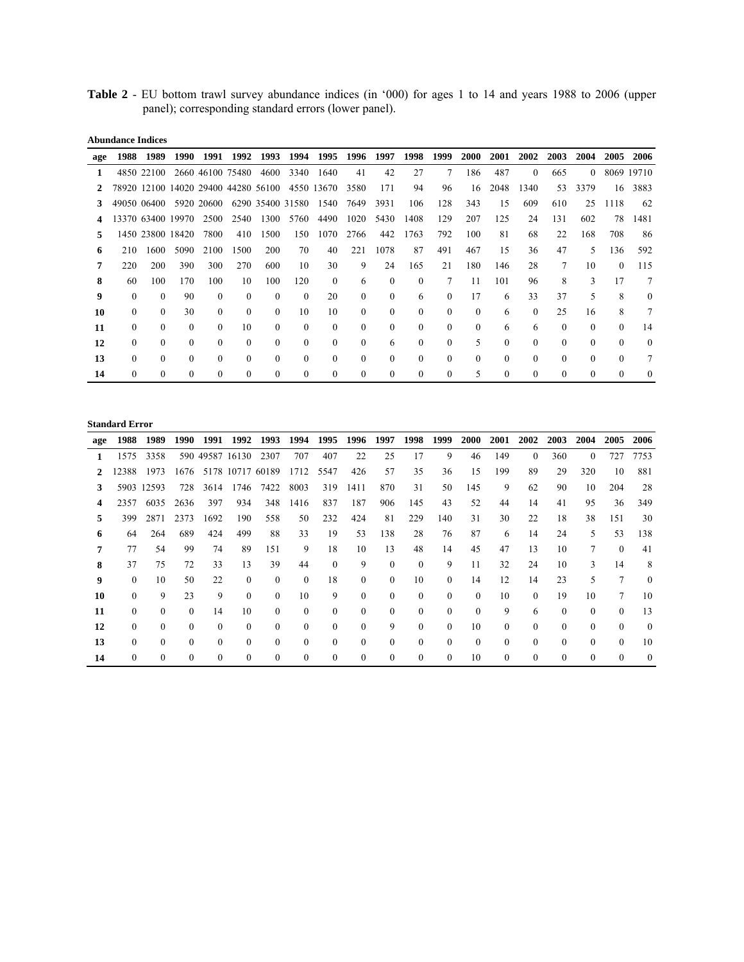**Table 2** - EU bottom trawl survey abundance indices (in '000) for ages 1 to 14 and years 1988 to 2006 (upper panel); corresponding standard errors (lower panel).

**Abundance Indices** 

| age | 1988             | 1989       | 1990              | 1991             | 1992     | 1993                                | 1994     | 1995                  | 1996         | 1997     | 1998     | 1999     | 2000     | 2001     | 2002     | 2003     | 2004     | 2005     | 2006       |
|-----|------------------|------------|-------------------|------------------|----------|-------------------------------------|----------|-----------------------|--------------|----------|----------|----------|----------|----------|----------|----------|----------|----------|------------|
| 1   |                  | 4850 22100 |                   | 2660 46100 75480 |          | 4600                                | 3340     | 1640                  | 41           | 42       | 27       | 7        | 186      | 487      | $\Omega$ | 665      | $\Omega$ |          | 8069 19710 |
|     |                  |            |                   |                  |          | 78920 12100 14020 29400 44280 56100 |          | 4550 13670            | 3580         | 171      | 94       | 96       | 16       | 2048     | 1340     | 53       | 3379     | 16       | 3883       |
| 3   | 49050 06400      |            |                   | 5920 20600       |          |                                     |          | 6290 35400 31580 1540 | 7649         | 3931     | 106      | 128      | 343      | 15       | 609      | 610      | 25       | 1118     | 62         |
|     |                  |            | 13370 63400 19970 | 2500             | 2540     | 1300                                | 5760     | 4490                  | 1020         | 5430     | 1408     | 129      | 207      | 125      | 24       | 131      | 602      | 78       | 1481       |
| 5   |                  |            | 1450 23800 18420  | 7800             | 410      | 1500                                | 150      | 1070                  | 2766         | 442      | 1763     | 792      | 100      | 81       | 68       | 22       | 168      | 708      | 86         |
| 6   | 210              | 1600       | 5090              | 2100             | 1500     | 200                                 | 70       | 40                    | 221          | 1078     | 87       | 491      | 467      | 15       | 36       | 47       | 5        | 136      | 592        |
| 7   | 220              | 200        | 390               | 300              | 270      | 600                                 | 10       | 30                    | 9            | 24       | 165      | 21       | 180      | 146      | 28       | 7        | 10       | $\theta$ | 115        |
| 8   | 60               | 100        | 170               | 100              | 10       | 100                                 | 120      | $\theta$              | 6            | $\Omega$ | $\theta$ | 7        | 11       | 101      | 96       | 8        | 3        | 17       | 7          |
| 9   | $\theta$         | 0          | 90                | $\theta$         | $\Omega$ | $\Omega$                            | $\Omega$ | 20                    | $\mathbf{0}$ | $\theta$ | 6        | $\Omega$ | 17       | 6        | 33       | 37       | 5        | 8        | $\theta$   |
| 10  | $\theta$         | $\Omega$   | 30                | $\Omega$         | $\Omega$ | $\Omega$                            | 10       | 10                    | $\theta$     | $\theta$ | $\theta$ | $\theta$ | $\Omega$ | 6        | $\Omega$ | 25       | 16       | 8        | 7          |
| 11  | $\boldsymbol{0}$ | $\Omega$   | $\Omega$          | $\Omega$         | 10       | $\Omega$                            | $\Omega$ | $\theta$              | $\mathbf{0}$ | $\theta$ | $\Omega$ | $\theta$ | $\theta$ | 6        | 6        | $\Omega$ | $\theta$ | $\theta$ | 14         |
| 12  | 0                | $\Omega$   | $\Omega$          | $\Omega$         | $\Omega$ | $\Omega$                            | $\Omega$ | $\Omega$              | $\theta$     | 6        | $\Omega$ | $\Omega$ | 5        | $\Omega$ | $\Omega$ | $\Omega$ | $\Omega$ | $\Omega$ | $\Omega$   |
| 13  | $\theta$         | $\Omega$   | $\Omega$          | $\Omega$         | $\Omega$ | $\Omega$                            | $\Omega$ | $\theta$              | $\theta$     | $\theta$ | $\theta$ | $\theta$ | $\theta$ | $\theta$ | $\Omega$ | $\theta$ | $\Omega$ | $\theta$ | 7          |
| 14  | $\theta$         | $\Omega$   | $\Omega$          | $\Omega$         | $\Omega$ | $\Omega$                            | $\Omega$ | $\theta$              | $\Omega$     | $\theta$ | $\Omega$ | $\Omega$ | 5        | $\Omega$ | $\Omega$ | $\Omega$ | $\Omega$ | $\Omega$ | 0          |

### **Standard Error**

| age | 1988           | 1989       | 1990     | 1991     | 1992             | 1993     | 1994     | 1995     | 1996     | 1997     | 1998     | 1999     | 2000     | 2001     | 2002     | 2003     | 2004     | 2005           | 2006     |
|-----|----------------|------------|----------|----------|------------------|----------|----------|----------|----------|----------|----------|----------|----------|----------|----------|----------|----------|----------------|----------|
| 1   | 1575           | 3358       |          |          | 590 49587 16130  | 2307     | 707      | 407      | 22       | 25       | 17       | 9        | 46       | 149      | $\Omega$ | 360      | $\theta$ | 727            | 7753     |
|     | 12388          | 1973       | 1676     |          | 5178 10717 60189 |          | 1712     | 5547     | 426      | 57       | 35       | 36       | 15       | 199      | 89       | 29       | 320      | 10             | 881      |
| 3   |                | 5903 12593 | 728      | 3614     | 1746             | 7422     | 8003     | 319      | 1411     | 870      | 31       | 50       | 145      | 9        | 62       | 90       | 10       | 204            | 28       |
|     | 2357           | 6035       | 2636     | 397      | 934              | 348      | 1416     | 837      | 187      | 906      | 145      | 43       | 52       | 44       | 14       | 41       | 95       | 36             | 349      |
|     | 399            | 2871       | 2373     | 1692     | 190              | 558      | 50       | 232      | 424      | 81       | 229      | 140      | 31       | 30       | 22       | 18       | 38       | 151            | 30       |
| 6   | 64             | 264        | 689      | 424      | 499              | 88       | 33       | 19       | 53       | 138      | 28       | 76       | 87       | 6        | 14       | 24       | 5        | 53             | 138      |
|     | 77             | 54         | 99       | 74       | 89               | 151      | 9        | 18       | 10       | 13       | 48       | 14       | 45       | 47       | 13       | 10       | $\tau$   | $\Omega$       | 41       |
| 8   | 37             | 75         | 72       | 33       | 13               | 39       | 44       | $\Omega$ | 9        | $\theta$ | $\Omega$ | 9        | 11       | 32       | 24       | 10       | 3        | 14             | 8        |
| 9   | $\theta$       | 10         | 50       | 22       | $\theta$         | $\Omega$ | $\Omega$ | 18       | $\theta$ | $\Omega$ | 10       | $\theta$ | 14       | 12       | 14       | 23       | 5        | $\overline{7}$ | $\theta$ |
| 10  | $\Omega$       | 9          | 23       | 9        | $\Omega$         | $\Omega$ | 10       | 9        | $\theta$ | $\theta$ | $\Omega$ | $\Omega$ | $\Omega$ | 10       | $\Omega$ | 19       | 10       | 7              | 10       |
| 11  | $\Omega$       | $\Omega$   | $\Omega$ | 14       | 10               | $\Omega$ | $\Omega$ | $\Omega$ | $\theta$ | $\Omega$ | $\theta$ | $\theta$ | $\theta$ | 9        | 6        | $\theta$ | $\Omega$ | $\Omega$       | 13       |
| 12  | $\overline{0}$ | $\Omega$   | $\Omega$ | $\theta$ | $\theta$         | $\Omega$ | $\Omega$ | $\theta$ | $\Omega$ | 9        | $\Omega$ | $\Omega$ | 10       | $\Omega$ | $\Omega$ | $\theta$ | $\theta$ | $\theta$       | $\theta$ |
| 13  | $\Omega$       | 0          | $\Omega$ | $\Omega$ | $\theta$         | $\Omega$ | $\Omega$ | $\Omega$ | $\Omega$ | $\theta$ | $\Omega$ | $\theta$ | $\theta$ | $\theta$ | $\Omega$ | $\Omega$ | $\Omega$ | $\Omega$       | 10       |
| 14  | $\Omega$       | 0          | $\Omega$ | $\Omega$ | $\Omega$         | $\Omega$ | $\Omega$ | $\Omega$ | $\theta$ | $\Omega$ | $\theta$ | $\Omega$ | 10       | $\Omega$ | $\Omega$ | $\theta$ | $\theta$ | $\theta$       | $\Omega$ |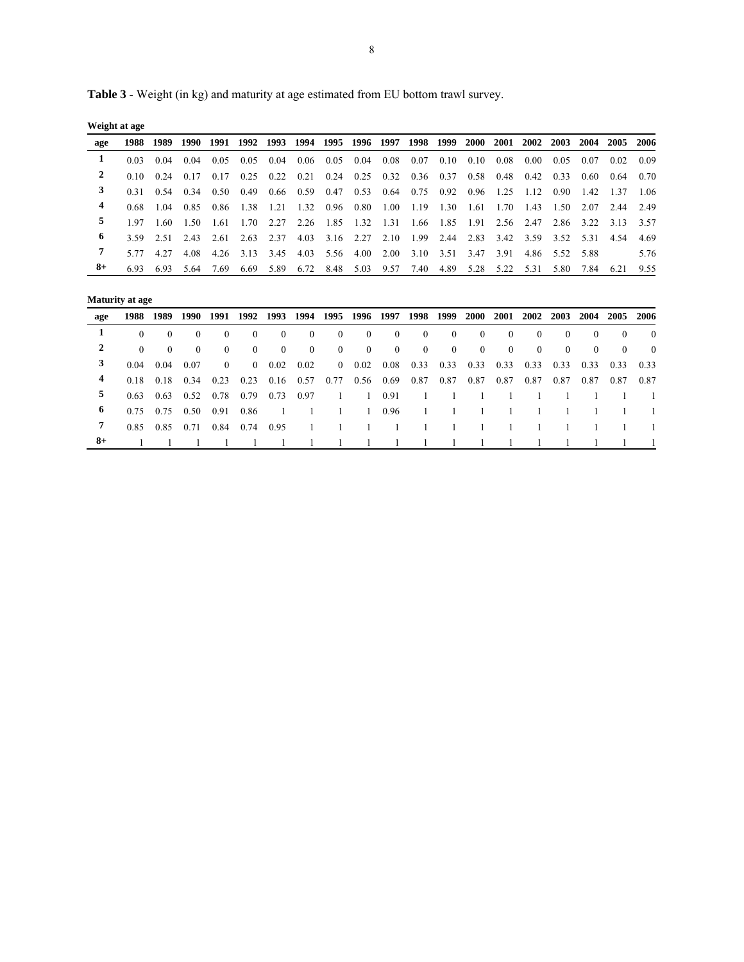**Table 3** - Weight (in kg) and maturity at age estimated from EU bottom trawl survey.

**Weight at age** 

| age  |  |  |  |                                                                                      |  |  |  |  |  | 1988 1989 1990 1991 1992 1993 1994 1995 1996 1997 1998 1999 2000 2001 2002 2003 2004 2005 2006 |      |
|------|--|--|--|--------------------------------------------------------------------------------------|--|--|--|--|--|------------------------------------------------------------------------------------------------|------|
|      |  |  |  |                                                                                      |  |  |  |  |  | 0.03 0.04 0.04 0.05 0.05 0.04 0.06 0.05 0.04 0.08 0.07 0.10 0.10 0.08 0.00 0.05 0.07 0.02 0.09 |      |
|      |  |  |  |                                                                                      |  |  |  |  |  | 0.10 0.24 0.17 0.17 0.25 0.22 0.21 0.24 0.25 0.32 0.36 0.37 0.58 0.48 0.42 0.33 0.60 0.64 0.70 |      |
|      |  |  |  |                                                                                      |  |  |  |  |  | 0.31 0.54 0.34 0.50 0.49 0.66 0.59 0.47 0.53 0.64 0.75 0.92 0.96 1.25 1.12 0.90 1.42 1.37 1.06 |      |
|      |  |  |  |                                                                                      |  |  |  |  |  | 0.68 1.04 0.85 0.86 1.38 1.21 1.32 0.96 0.80 1.00 1.19 1.30 1.61 1.70 1.43 1.50 2.07 2.44 2.49 |      |
| 5.   |  |  |  |                                                                                      |  |  |  |  |  | 1.97 1.60 1.50 1.61 1.70 2.27 2.26 1.85 1.32 1.31 1.66 1.85 1.91 2.56 2.47 2.86 3.22 3.13 3.57 |      |
| 6    |  |  |  |                                                                                      |  |  |  |  |  | 3.59 2.51 2.43 2.61 2.63 2.37 4.03 3.16 2.27 2.10 1.99 2.44 2.83 3.42 3.59 3.52 5.31 4.54 4.69 |      |
|      |  |  |  | 5.77 4.27 4.08 4.26 3.13 3.45 4.03 5.56 4.00 2.00 3.10 3.51 3.47 3.91 4.86 5.52 5.88 |  |  |  |  |  |                                                                                                | 5.76 |
| $8+$ |  |  |  |                                                                                      |  |  |  |  |  | 6.93 6.93 5.64 7.69 6.69 5.89 6.72 8.48 5.03 9.57 7.40 4.89 5.28 5.22 5.31 5.80 7.84 6.21 9.55 |      |

|     | <b>Maturity at age</b> |          |          |              |                                         |          |          |          |                  |          |                |              |           |                |          |                |          |          |          |
|-----|------------------------|----------|----------|--------------|-----------------------------------------|----------|----------|----------|------------------|----------|----------------|--------------|-----------|----------------|----------|----------------|----------|----------|----------|
| age | 1988                   | 1989     | 1990     |              | 1991 1992 1993 1994 1995 1996 1997 1998 |          |          |          |                  |          |                |              | 1999 2000 | <b>2001</b>    | 2002     | 2003           | 2004     | 2005     | 2006     |
| 1   | $\Omega$               | $\theta$ | $\theta$ | $\theta$     | $\theta$                                | $\theta$ | $\theta$ | $\theta$ | $\left( \right)$ | $\theta$ | $\overline{0}$ | $\mathbf{0}$ | $\theta$  | $\theta$       | $\theta$ | $\overline{0}$ | $\left($ | $\theta$ | $\theta$ |
| 2   | $\theta$               | $\left($ | $\theta$ | $\mathbf{0}$ | $\overline{0}$                          | $\Omega$ | $\theta$ | $\theta$ | $\theta$         | $\theta$ | $\overline{0}$ | $\mathbf{0}$ | $\theta$  | $\overline{0}$ | $\theta$ | $\mathbf{0}$   | $\theta$ | $\theta$ | $\theta$ |
| 3   | 0.04                   | 0.04     | 0.07     | $\theta$     | $\Omega$                                | 0.02     | 0.02     | $\theta$ | 0.02             | 0.08     | 0.33           | 0.33         | 0.33      | 0.33           | 0.33     | 0.33           | 0.33     | 0.33     | 0.33     |
| 4   | 0.18                   | 0.18     | 0.34     | 0.23         | 0.23                                    | 0.16     | 0.57     | 0.77     | 0.56             | 0.69     | 0.87           | 0.87         | 0.87      | 0.87           | 0.87     | 0.87           | 0.87     | 0.87     | 0.87     |
| 5   | 0.63                   | 0.63     | 0.52     | 0.78         | 0.79                                    | 0.73     | 0.97     | 1        |                  | 0.91     |                |              |           |                |          |                |          |          |          |
| 6   | 0.75                   | 0.75     | 0.50     | 0.91         | 0.86                                    |          |          |          | -1               | 0.96     |                |              |           |                |          |                |          |          |          |
| 7   | 0.85                   | 0.85     | 0.71     | 0.84         | 0.74                                    | 0.95     |          |          |                  |          |                |              |           |                |          |                |          |          |          |
| 8+  |                        |          |          |              |                                         |          |          |          |                  |          |                |              |           |                |          |                |          |          |          |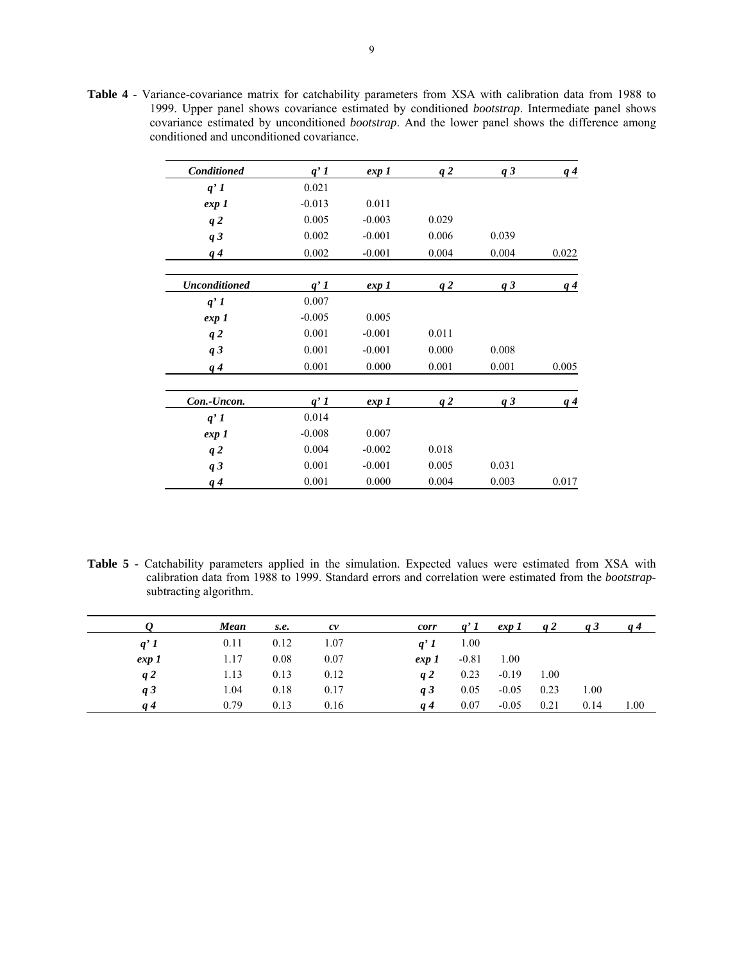**Table 4** - Variance-covariance matrix for catchability parameters from XSA with calibration data from 1988 to 1999. Upper panel shows covariance estimated by conditioned *bootstrap*. Intermediate panel shows covariance estimated by unconditioned *bootstrap*. And the lower panel shows the difference among conditioned and unconditioned covariance.

| <b>Conditioned</b>   | $q'$ 1   | exp 1    | q2    | q <sub>3</sub> | q <sub>4</sub> |
|----------------------|----------|----------|-------|----------------|----------------|
| $q'$ 1               | 0.021    |          |       |                |                |
| exp 1                | $-0.013$ | 0.011    |       |                |                |
| q2                   | 0.005    | $-0.003$ | 0.029 |                |                |
| q3                   | 0.002    | $-0.001$ | 0.006 | 0.039          |                |
| $q\,4$               | 0.002    | $-0.001$ | 0.004 | 0.004          | 0.022          |
| <b>Unconditioned</b> | $q'$ 1   | exp 1    | q2    | q <sub>3</sub> | $q\bar{q}$     |
| $q'$ 1               | 0.007    |          |       |                |                |
| exp 1                | $-0.005$ | 0.005    |       |                |                |
| q2                   | 0.001    | $-0.001$ | 0.011 |                |                |
| q <sub>3</sub>       | 0.001    | $-0.001$ | 0.000 | 0.008          |                |
| $q\bar{q}$           | 0.001    | 0.000    | 0.001 | 0.001          | 0.005          |
| Con.-Uncon.          | $q'$ 1   | exp 1    | q2    | q <sub>3</sub> | $q\bar{q}$     |
| q'1                  | 0.014    |          |       |                |                |
| exp 1                | $-0.008$ | 0.007    |       |                |                |
| q2                   | 0.004    | $-0.002$ | 0.018 |                |                |
| q <sub>3</sub>       | 0.001    | $-0.001$ | 0.005 | 0.031          |                |
| q <sub>4</sub>       | 0.001    | 0.000    | 0.004 | 0.003          | 0.017          |

**Table 5** - Catchability parameters applied in the simulation. Expected values were estimated from XSA with calibration data from 1988 to 1999. Standard errors and correlation were estimated from the *bootstrap*subtracting algorithm.

|                | Mean | s.e. | c v  | corr           |         | exp <sub>1</sub> | a2   | a3   | a 4      |
|----------------|------|------|------|----------------|---------|------------------|------|------|----------|
| q'1            | 0.11 | 0.12 | 1.07 | q'1            | 1.00    |                  |      |      |          |
| exp 1          | 1.17 | 0.08 | 0.07 | exp 1          | $-0.81$ | 1.00             |      |      |          |
| q <sub>2</sub> | 1.13 | 0.13 | 0.12 | q2             | 0.23    | $-0.19$          | 1.00 |      |          |
| q <sub>3</sub> | 1.04 | 0.18 | 0.17 | q <sub>3</sub> | 0.05    | $-0.05$          | 0.23 | 1.00 |          |
| a 4            | 0.79 | 0.13 | 0.16 | a 4            | 0.07    | $-0.05$          | 0.21 | 0.14 | $1.00\,$ |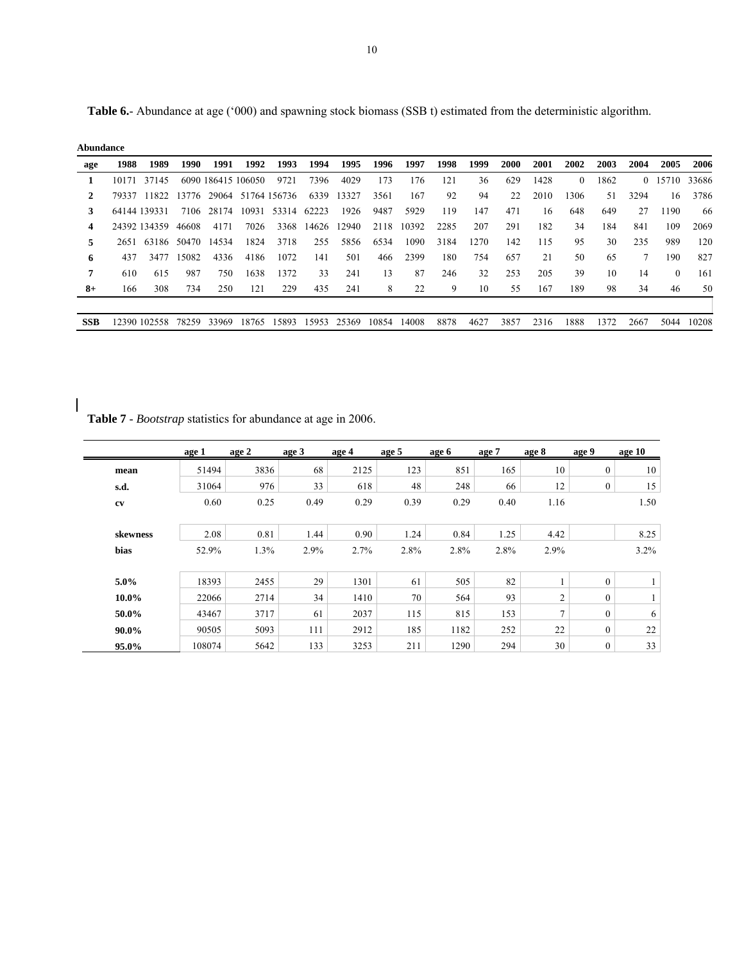**Table 6.**- Abundance at age ('000) and spawning stock biomass (SSB t) estimated from the deterministic algorithm.

| Abundance |
|-----------|
|           |

 $\overline{\phantom{a}}$ 

| age        | 1988 | 1989               | 1990  | 1991               | 1992 | 1993                         | 1994 | 1995        | 1996        | 1997       | 1998 | 1999 | <b>2000</b> | 2001 | 2002     | 2003 | 2004 | 2005     | 2006  |
|------------|------|--------------------|-------|--------------------|------|------------------------------|------|-------------|-------------|------------|------|------|-------------|------|----------|------|------|----------|-------|
|            |      | 10171 37145        |       | 6090 186415 106050 |      | 9721                         | 7396 | 4029        | 173         | 176        | 121  | 36   | 629         | 1428 | $\left($ | 1862 |      | 0 15710  | 33686 |
|            |      | 79337 11822        |       |                    |      | 13776 29064 51764 156736     |      | 6339 13327  | 3561        | 167        | 92   | 94   | 22          | 2010 | 1306.    | 51   | 3294 | 16       | 3786  |
| 3          |      | 64144 139331       |       |                    |      | 7106 28174 10931 53314 62223 |      | 1926        | 9487        | 5929       | 119  | 147  | 471         | 16   | 648      | 649  | 27   | 1190     | 66    |
| 4          |      | 24392 134359 46608 |       | 4171               | 7026 | 3368                         |      | 14626 12940 |             | 2118 10392 | 2285 | 207  | 291         | 182  | 34       | 184  | 841  | 109      | 2069  |
| 5          |      | 2651 63186 50470   |       | 14534              | 1824 | 3718                         | 255  | 5856        | 6534        | 1090       | 3184 | 1270 | 142         | 115  | 95       | 30   | 235  | 989      | 120   |
| 6          | 437  | 3477               | 15082 | 4336               | 4186 | 1072                         | 141  | 501         | 466         | 2399       | 180  | 754  | 657         | 21   | 50       | 65   | 7    | 190      | 827   |
| 7          | 610  | 615                | 987   | 750                | 1638 | 1372                         | 33   | 241         | 13          | 87         | 246  | 32   | 253         | 205  | 39       | 10   | 14   | $\theta$ | 161   |
| $8+$       | 166  | 308                | 734   | 250                | 121  | 229                          | 435  | 241         | 8           | 22         | 9    | 10   | 55          | 167  | 189      | 98   | 34   | 46       | 50    |
|            |      |                    |       |                    |      |                              |      |             |             |            |      |      |             |      |          |      |      |          |       |
| <b>SSB</b> |      | 12390 102558       |       | 78259 33969        |      | 18765 15893                  |      | 15953 25369 | 10854 14008 |            | 8878 | 4627 | 3857        | 2316 | 1888     | 1372 | 2667 | 5044     | 10208 |

**Table 7** - *Bootstrap* statistics for abundance at age in 2006.

|             | age 1  | age 2 | age 3 | age 4 | age 5 | age 6 | age 7 | age 8          | age 9          | age 10 |
|-------------|--------|-------|-------|-------|-------|-------|-------|----------------|----------------|--------|
| mean        | 51494  | 3836  | 68    | 2125  | 123   | 851   | 165   | 10             | $\overline{0}$ | 10     |
| s.d.        | 31064  | 976   | 33    | 618   | 48    | 248   | 66    | 12             | 0              | 15     |
| cv          | 0.60   | 0.25  | 0.49  | 0.29  | 0.39  | 0.29  | 0.40  | 1.16           |                | 1.50   |
| skewness    | 2.08   | 0.81  | 1.44  | 0.90  | 1.24  | 0.84  | 1.25  | 4.42           |                | 8.25   |
| <b>bias</b> | 52.9%  | 1.3%  | 2.9%  | 2.7%  | 2.8%  | 2.8%  | 2.8%  | 2.9%           |                | 3.2%   |
|             |        |       |       |       |       |       |       |                |                |        |
| $5.0\%$     | 18393  | 2455  | 29    | 1301  | 61    | 505   | 82    | 1              | $\mathbf{0}$   |        |
| $10.0\%$    | 22066  | 2714  | 34    | 1410  | 70    | 564   | 93    | $\overline{c}$ | $\mathbf{0}$   |        |
| 50.0%       | 43467  | 3717  | 61    | 2037  | 115   | 815   | 153   | $\overline{7}$ | $\mathbf{0}$   | 6      |
| $90.0\%$    | 90505  | 5093  | 111   | 2912  | 185   | 1182  | 252   | 22             | $\mathbf{0}$   | 22     |
| 95.0%       | 108074 | 5642  | 133   | 3253  | 211   | 1290  | 294   | 30             | 0              | 33     |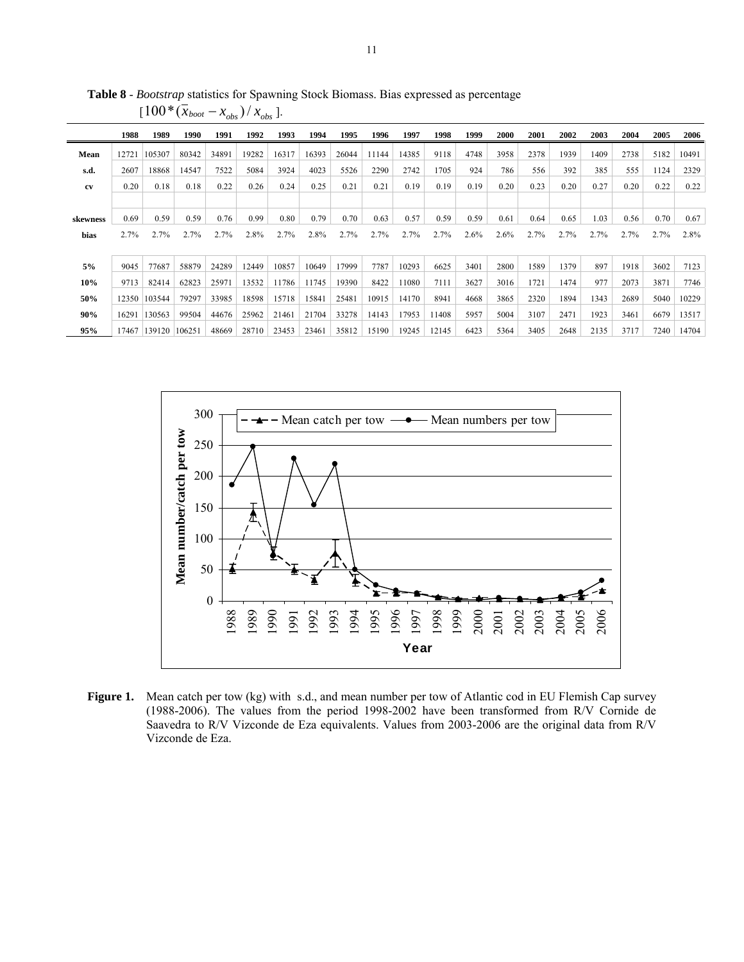|          | 1988  | 1989                  | 1990  | 1991  | 1992  | 1993  | 1994  | 1995  | 1996  | 1997  | 1998  | 1999 | 2000 | 2001 | 2002 | 2003 | 2004 | 2005 | 2006         |
|----------|-------|-----------------------|-------|-------|-------|-------|-------|-------|-------|-------|-------|------|------|------|------|------|------|------|--------------|
| Mean     | 12721 | 105307                | 80342 | 34891 | 19282 | 16317 | 16393 | 26044 | 11144 | 14385 | 9118  | 4748 | 3958 | 2378 | 1939 | 1409 | 2738 | 5182 | 10491        |
| s.d.     | 2607  | 18868                 | 14547 | 7522  | 5084  | 3924  | 4023  | 5526  | 2290  | 2742  | 1705  | 924  | 786  | 556  | 392  | 385  | 555  | 1124 | 2329         |
| cv       | 0.20  | 0.18                  | 0.18  | 0.22  | 0.26  | 0.24  | 0.25  | 0.21  | 0.21  | 0.19  | 0.19  | 0.19 | 0.20 | 0.23 | 0.20 | 0.27 | 0.20 | 0.22 | 0.22         |
|          |       |                       |       |       |       |       |       |       |       |       |       |      |      |      |      |      |      |      |              |
| skewness | 0.69  | 0.59                  | 0.59  | 0.76  | 0.99  | 0.80  | 0.79  | 0.70  | 0.63  | 0.57  | 0.59  | 0.59 | 0.61 | 0.64 | 0.65 | 1.03 | 0.56 | 0.70 | 0.67         |
| bias     | 2.7%  | 2.7%                  | 2.7%  | 2.7%  | 2.8%  | 2.7%  | 2.8%  | 2.7%  | 2.7%  | 2.7%  | 2.7%  | 2.6% | 2.6% | 2.7% | 2.7% | 2.7% | 2.7% | 2.7% | 2.8%         |
|          |       |                       |       |       |       |       |       |       |       |       |       |      |      |      |      |      |      |      |              |
| 5%       | 9045  | 77687                 | 58879 | 24289 | 12449 | 10857 | 10649 | 17999 | 7787  | 10293 | 6625  | 3401 | 2800 | 1589 | 1379 | 897  | 1918 | 3602 | 7123         |
| 10%      | 9713  | 82414                 | 62823 | 25971 | 13532 | 11786 | 11745 | 19390 | 8422  | 11080 | 7111  | 3627 | 3016 | 1721 | 1474 | 977  | 2073 | 3871 | 7746         |
| 50%      |       | 12350 103544          | 79297 | 33985 | 18598 | 15718 | 15841 | 25481 | 10915 | 14170 | 8941  | 4668 | 3865 | 2320 | 1894 | 1343 | 2689 | 5040 | 10229        |
| 90%      |       | 16291 130563          | 99504 | 44676 | 25962 | 21461 | 21704 | 33278 | 14143 | 17953 | 11408 | 5957 | 5004 | 3107 | 2471 | 1923 | 3461 | 6679 | 13517        |
| 95%      |       | 17467  139120  106251 |       | 48669 | 28710 | 23453 | 23461 | 35812 | 15190 | 19245 | 12145 | 6423 | 5364 | 3405 | 2648 | 2135 | 3717 |      | 7240   14704 |

**Table 8** - *Bootstrap* statistics for Spawning Stock Biomass. Bias expressed as percentage  $[100*(\bar{x}_{boot} - x_{obs}) / x_{obs}]$ .



Figure 1. Mean catch per tow (kg) with s.d., and mean number per tow of Atlantic cod in EU Flemish Cap survey (1988-2006). The values from the period 1998-2002 have been transformed from R/V Cornide de Saavedra to R/V Vizconde de Eza equivalents. Values from 2003-2006 are the original data from R/V Vizconde de Eza.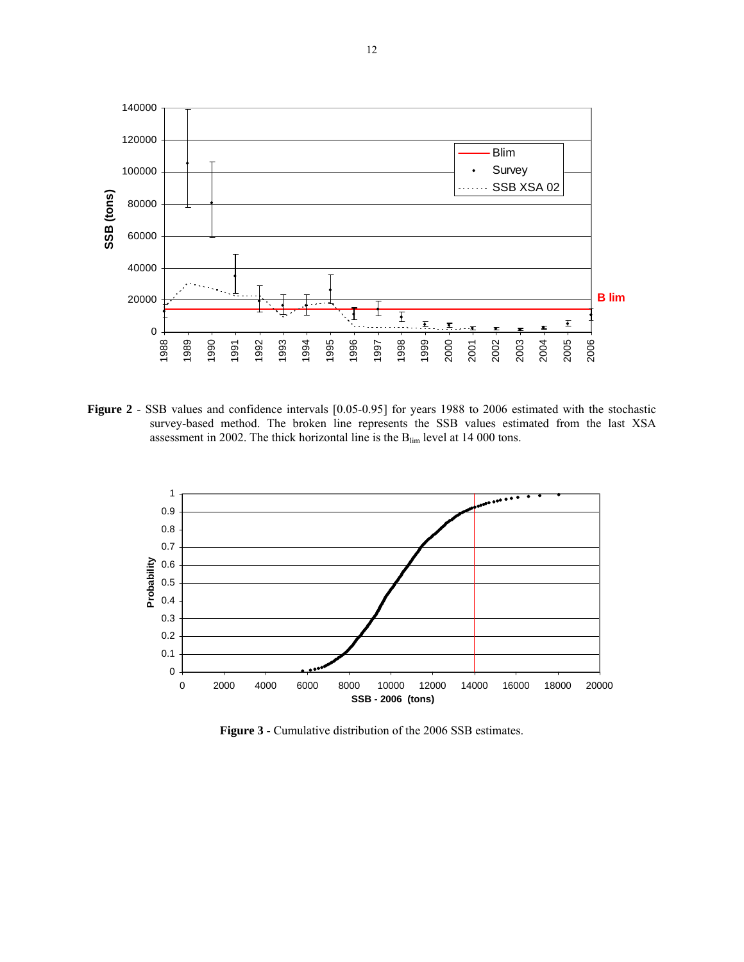

**Figure 2** - SSB values and confidence intervals [0.05-0.95] for years 1988 to 2006 estimated with the stochastic survey-based method. The broken line represents the SSB values estimated from the last XSA assessment in 2002. The thick horizontal line is the  $B_{\text{lim}}$  level at 14 000 tons.



**Figure 3** - Cumulative distribution of the 2006 SSB estimates.